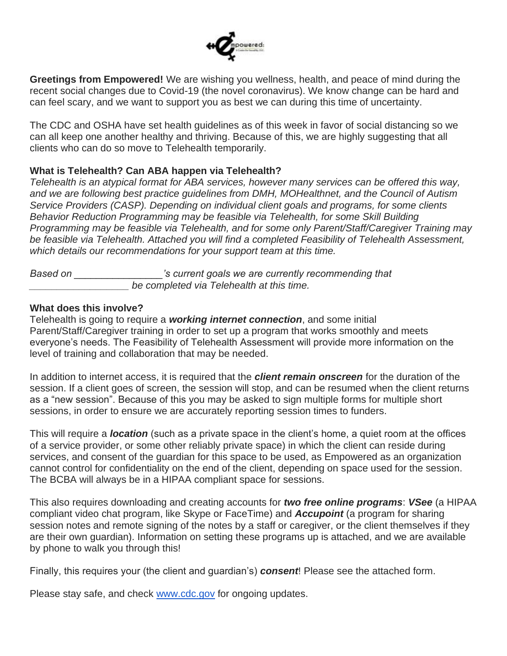

**Greetings from Empowered!** We are wishing you wellness, health, and peace of mind during the recent social changes due to Covid-19 (the novel coronavirus). We know change can be hard and can feel scary, and we want to support you as best we can during this time of uncertainty.

The CDC and OSHA have set health guidelines as of this week in favor of social distancing so we can all keep one another healthy and thriving. Because of this, we are highly suggesting that all clients who can do so move to Telehealth temporarily.

# **What is Telehealth? Can ABA happen via Telehealth?**

*Telehealth is an atypical format for ABA services, however many services can be offered this way, and we are following best practice guidelines from DMH, MOHealthnet, and the Council of Autism Service Providers (CASP). Depending on individual client goals and programs, for some clients Behavior Reduction Programming may be feasible via Telehealth, for some Skill Building Programming may be feasible via Telehealth, and for some only Parent/Staff/Caregiver Training may be feasible via Telehealth. Attached you will find a completed Feasibility of Telehealth Assessment, which details our recommendations for your support team at this time.*

*Based on \_\_\_\_\_\_\_\_\_\_\_\_\_\_\_\_'s current goals we are currently recommending that \_\_\_\_\_\_\_\_\_\_\_\_\_\_\_\_\_\_ be completed via Telehealth at this time.*

# **What does this involve?**

Telehealth is going to require a *working internet connection*, and some initial Parent/Staff/Caregiver training in order to set up a program that works smoothly and meets everyone's needs. The Feasibility of Telehealth Assessment will provide more information on the level of training and collaboration that may be needed.

In addition to internet access, it is required that the *client remain onscreen* for the duration of the session. If a client goes of screen, the session will stop, and can be resumed when the client returns as a "new session". Because of this you may be asked to sign multiple forms for multiple short sessions, in order to ensure we are accurately reporting session times to funders.

This will require a *location* (such as a private space in the client's home, a quiet room at the offices of a service provider, or some other reliably private space) in which the client can reside during services, and consent of the guardian for this space to be used, as Empowered as an organization cannot control for confidentiality on the end of the client, depending on space used for the session. The BCBA will always be in a HIPAA compliant space for sessions.

This also requires downloading and creating accounts for *two free online programs*: *VSee* (a HIPAA compliant video chat program, like Skype or FaceTime) and *Accupoint* (a program for sharing session notes and remote signing of the notes by a staff or caregiver, or the client themselves if they are their own guardian). Information on setting these programs up is attached, and we are available by phone to walk you through this!

Finally, this requires your (the client and guardian's) *consent*! Please see the attached form.

Please stay safe, and check [www.cdc.gov](http://www.cdc.gov/) for ongoing updates.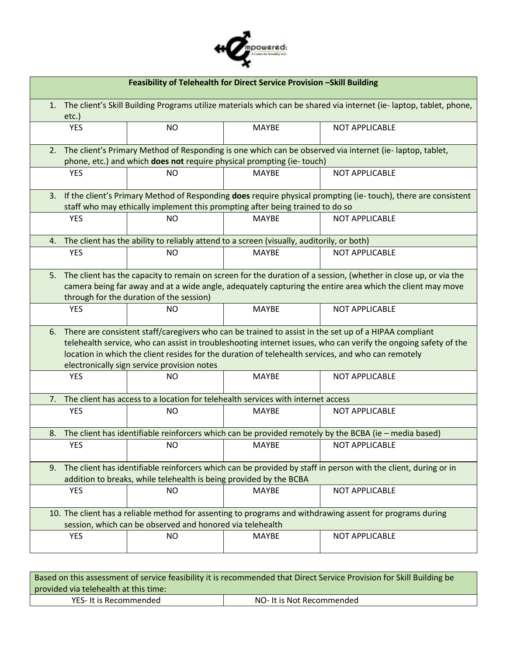

| Feasibility of Telehealth for Direct Service Provision -Skill Building |                                                                                                                                                                                                                                                                                                                                                                               |                                                                                           |              |                                                                                                       |  |
|------------------------------------------------------------------------|-------------------------------------------------------------------------------------------------------------------------------------------------------------------------------------------------------------------------------------------------------------------------------------------------------------------------------------------------------------------------------|-------------------------------------------------------------------------------------------|--------------|-------------------------------------------------------------------------------------------------------|--|
|                                                                        | 1. The client's Skill Building Programs utilize materials which can be shared via internet (ie-laptop, tablet, phone,<br>$etc.$ )                                                                                                                                                                                                                                             |                                                                                           |              |                                                                                                       |  |
|                                                                        | <b>YES</b>                                                                                                                                                                                                                                                                                                                                                                    | <b>NO</b>                                                                                 | <b>MAYBE</b> | <b>NOT APPLICABLE</b>                                                                                 |  |
| 2.                                                                     | The client's Primary Method of Responding is one which can be observed via internet (ie-laptop, tablet,<br>phone, etc.) and which does not require physical prompting (ie-touch)                                                                                                                                                                                              |                                                                                           |              |                                                                                                       |  |
|                                                                        | <b>YES</b>                                                                                                                                                                                                                                                                                                                                                                    | <b>NO</b>                                                                                 | <b>MAYBE</b> | <b>NOT APPLICABLE</b>                                                                                 |  |
|                                                                        | 3. If the client's Primary Method of Responding does require physical prompting (ie-touch), there are consistent<br>staff who may ethically implement this prompting after being trained to do so                                                                                                                                                                             |                                                                                           |              |                                                                                                       |  |
|                                                                        | <b>YES</b>                                                                                                                                                                                                                                                                                                                                                                    | <b>NO</b>                                                                                 | <b>MAYBE</b> | <b>NOT APPLICABLE</b>                                                                                 |  |
| 4.                                                                     |                                                                                                                                                                                                                                                                                                                                                                               | The client has the ability to reliably attend to a screen (visually, auditorily, or both) |              |                                                                                                       |  |
|                                                                        | <b>YES</b>                                                                                                                                                                                                                                                                                                                                                                    | <b>NO</b>                                                                                 | <b>MAYBE</b> | <b>NOT APPLICABLE</b>                                                                                 |  |
|                                                                        | 5. The client has the capacity to remain on screen for the duration of a session, (whether in close up, or via the<br>camera being far away and at a wide angle, adequately capturing the entire area which the client may move<br>through for the duration of the session)                                                                                                   |                                                                                           |              |                                                                                                       |  |
|                                                                        | <b>YES</b>                                                                                                                                                                                                                                                                                                                                                                    | <b>NO</b>                                                                                 | <b>MAYBE</b> | <b>NOT APPLICABLE</b>                                                                                 |  |
| 6.                                                                     | There are consistent staff/caregivers who can be trained to assist in the set up of a HIPAA compliant<br>telehealth service, who can assist in troubleshooting internet issues, who can verify the ongoing safety of the<br>location in which the client resides for the duration of telehealth services, and who can remotely<br>electronically sign service provision notes |                                                                                           |              |                                                                                                       |  |
|                                                                        | <b>YES</b>                                                                                                                                                                                                                                                                                                                                                                    | NO                                                                                        | <b>MAYBE</b> | <b>NOT APPLICABLE</b>                                                                                 |  |
| 7.                                                                     |                                                                                                                                                                                                                                                                                                                                                                               | The client has access to a location for telehealth services with internet access          |              |                                                                                                       |  |
|                                                                        | <b>YES</b>                                                                                                                                                                                                                                                                                                                                                                    | <b>NO</b>                                                                                 | <b>MAYBE</b> | NOT APPLICABLE                                                                                        |  |
| 8.                                                                     |                                                                                                                                                                                                                                                                                                                                                                               |                                                                                           |              | The client has identifiable reinforcers which can be provided remotely by the BCBA (ie - media based) |  |
|                                                                        | <b>YES</b>                                                                                                                                                                                                                                                                                                                                                                    | NO.                                                                                       | <b>MAYBE</b> | NOT APPLICABLE                                                                                        |  |
|                                                                        | 9. The client has identifiable reinforcers which can be provided by staff in person with the client, during or in<br>addition to breaks, while telehealth is being provided by the BCBA                                                                                                                                                                                       |                                                                                           |              |                                                                                                       |  |
|                                                                        | <b>YES</b>                                                                                                                                                                                                                                                                                                                                                                    | NO.                                                                                       | <b>MAYBE</b> | <b>NOT APPLICABLE</b>                                                                                 |  |
|                                                                        | 10. The client has a reliable method for assenting to programs and withdrawing assent for programs during<br>session, which can be observed and honored via telehealth                                                                                                                                                                                                        |                                                                                           |              |                                                                                                       |  |
|                                                                        | <b>YES</b>                                                                                                                                                                                                                                                                                                                                                                    | <b>NO</b>                                                                                 | <b>MAYBE</b> | <b>NOT APPLICABLE</b>                                                                                 |  |

| Based on this assessment of service feasibility it is recommended that Direct Service Provision for Skill Building be |                           |  |  |  |
|-----------------------------------------------------------------------------------------------------------------------|---------------------------|--|--|--|
| provided via telehealth at this time:                                                                                 |                           |  |  |  |
| YES- It is Recommended                                                                                                | NO- It is Not Recommended |  |  |  |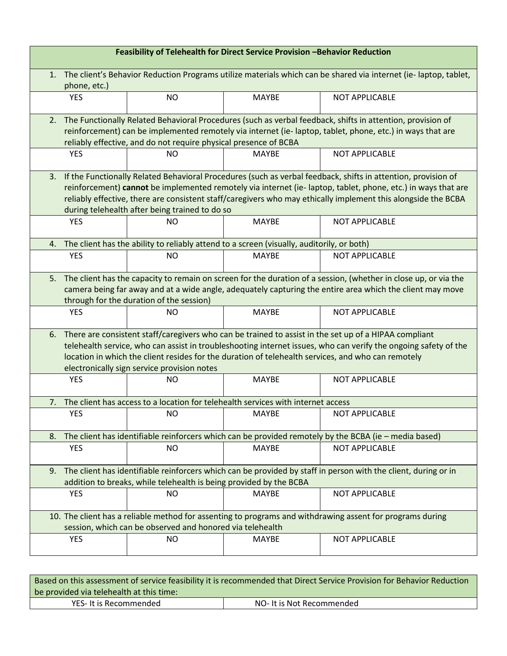| Feasibility of Telehealth for Direct Service Provision -Behavior Reduction                                                                                             |                                                                                                                                                                                                                                                                                                                                                                                                  |           |                                                                                           |                       |  |
|------------------------------------------------------------------------------------------------------------------------------------------------------------------------|--------------------------------------------------------------------------------------------------------------------------------------------------------------------------------------------------------------------------------------------------------------------------------------------------------------------------------------------------------------------------------------------------|-----------|-------------------------------------------------------------------------------------------|-----------------------|--|
| 1.                                                                                                                                                                     | The client's Behavior Reduction Programs utilize materials which can be shared via internet (ie-laptop, tablet,<br>phone, etc.)                                                                                                                                                                                                                                                                  |           |                                                                                           |                       |  |
|                                                                                                                                                                        | <b>YES</b>                                                                                                                                                                                                                                                                                                                                                                                       | <b>NO</b> | <b>MAYBE</b>                                                                              | NOT APPLICABLE        |  |
| 2.                                                                                                                                                                     | The Functionally Related Behavioral Procedures (such as verbal feedback, shifts in attention, provision of<br>reinforcement) can be implemented remotely via internet (ie-laptop, tablet, phone, etc.) in ways that are<br>reliably effective, and do not require physical presence of BCBA                                                                                                      |           |                                                                                           |                       |  |
|                                                                                                                                                                        | <b>YES</b>                                                                                                                                                                                                                                                                                                                                                                                       | <b>NO</b> | <b>MAYBE</b>                                                                              | <b>NOT APPLICABLE</b> |  |
| 3.                                                                                                                                                                     | If the Functionally Related Behavioral Procedures (such as verbal feedback, shifts in attention, provision of<br>reinforcement) cannot be implemented remotely via internet (ie-laptop, tablet, phone, etc.) in ways that are<br>reliably effective, there are consistent staff/caregivers who may ethically implement this alongside the BCBA<br>during telehealth after being trained to do so |           |                                                                                           |                       |  |
|                                                                                                                                                                        | <b>YES</b>                                                                                                                                                                                                                                                                                                                                                                                       | <b>NO</b> | <b>MAYBE</b>                                                                              | <b>NOT APPLICABLE</b> |  |
| 4.                                                                                                                                                                     |                                                                                                                                                                                                                                                                                                                                                                                                  |           | The client has the ability to reliably attend to a screen (visually, auditorily, or both) |                       |  |
|                                                                                                                                                                        | <b>YES</b>                                                                                                                                                                                                                                                                                                                                                                                       | <b>NO</b> | <b>MAYBE</b>                                                                              | NOT APPLICABLE        |  |
| 5.                                                                                                                                                                     | The client has the capacity to remain on screen for the duration of a session, (whether in close up, or via the<br>camera being far away and at a wide angle, adequately capturing the entire area which the client may move<br>through for the duration of the session)                                                                                                                         |           |                                                                                           |                       |  |
|                                                                                                                                                                        | <b>YES</b>                                                                                                                                                                                                                                                                                                                                                                                       | <b>NO</b> | <b>MAYBE</b>                                                                              | <b>NOT APPLICABLE</b> |  |
| 6.                                                                                                                                                                     | There are consistent staff/caregivers who can be trained to assist in the set up of a HIPAA compliant<br>telehealth service, who can assist in troubleshooting internet issues, who can verify the ongoing safety of the<br>location in which the client resides for the duration of telehealth services, and who can remotely<br>electronically sign service provision notes                    |           |                                                                                           |                       |  |
|                                                                                                                                                                        | <b>YES</b>                                                                                                                                                                                                                                                                                                                                                                                       | <b>NO</b> | <b>MAYBE</b>                                                                              | <b>NOT APPLICABLE</b> |  |
| 7.                                                                                                                                                                     |                                                                                                                                                                                                                                                                                                                                                                                                  |           | The client has access to a location for telehealth services with internet access          |                       |  |
|                                                                                                                                                                        | <b>YES</b>                                                                                                                                                                                                                                                                                                                                                                                       | NO.       | <b>MAYBE</b>                                                                              | <b>NOT APPLICABLE</b> |  |
| 8.                                                                                                                                                                     | The client has identifiable reinforcers which can be provided remotely by the BCBA (ie - media based)                                                                                                                                                                                                                                                                                            |           |                                                                                           |                       |  |
|                                                                                                                                                                        | <b>YES</b>                                                                                                                                                                                                                                                                                                                                                                                       | <b>NO</b> | <b>MAYBE</b>                                                                              | <b>NOT APPLICABLE</b> |  |
| 9.                                                                                                                                                                     | The client has identifiable reinforcers which can be provided by staff in person with the client, during or in<br>addition to breaks, while telehealth is being provided by the BCBA                                                                                                                                                                                                             |           |                                                                                           |                       |  |
|                                                                                                                                                                        | <b>YES</b>                                                                                                                                                                                                                                                                                                                                                                                       | <b>NO</b> | <b>MAYBE</b>                                                                              | <b>NOT APPLICABLE</b> |  |
| 10. The client has a reliable method for assenting to programs and withdrawing assent for programs during<br>session, which can be observed and honored via telehealth |                                                                                                                                                                                                                                                                                                                                                                                                  |           |                                                                                           |                       |  |
|                                                                                                                                                                        | <b>YES</b>                                                                                                                                                                                                                                                                                                                                                                                       | <b>NO</b> | <b>MAYBE</b>                                                                              | <b>NOT APPLICABLE</b> |  |

| Based on this assessment of service feasibility it is recommended that Direct Service Provision for Behavior Reduction |                           |  |  |  |  |
|------------------------------------------------------------------------------------------------------------------------|---------------------------|--|--|--|--|
| be provided via telehealth at this time:                                                                               |                           |  |  |  |  |
| YES- It is Recommended                                                                                                 | NO- It is Not Recommended |  |  |  |  |